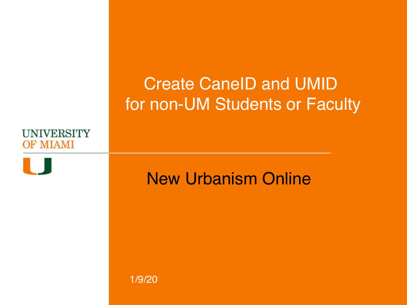### Create CaneID and UMID for non-UM Students or Faculty





### New Urbanism Online

1/9/20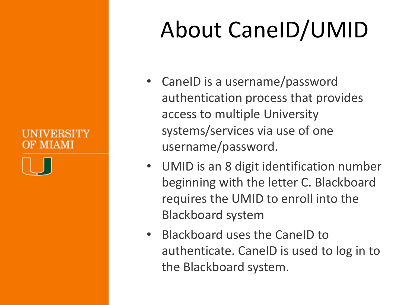### OF MIAMI



# About CaneID/UMID

- CaneID is a username/password authentication process that provides access to multiple University systems/services via use of one username/password.
- UMID is an 8 digit identification number beginning with the letter C. Blackboard requires the UMID to enroll into the **Blackboard** system
- Blackboard uses the CaneID to authenticate. CaneID is used to log in to the Blackboard system.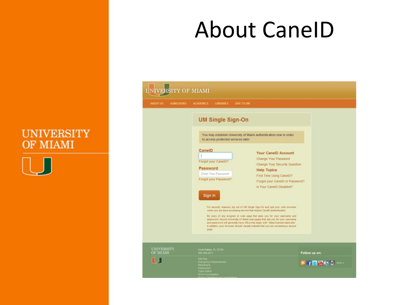

### About CaneID

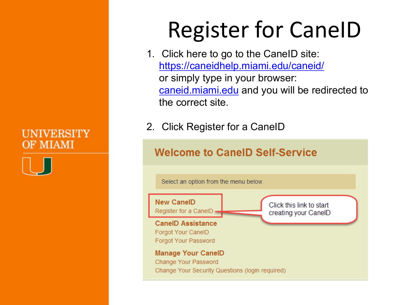### **Register for CaneID**

- 1. Click here to go to the CaneID site: https://caneidhelp.miami.edu/caneid/ or simply type in your browser: caneid.miami.edu and you will be redirected to the correct site.
- 2. Click Register for a CaneID

### **Welcome to CanelD Self-Service**

Select an option from the menu below.

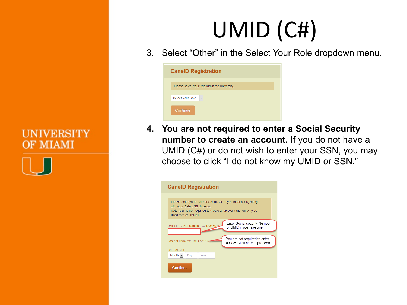

# UMID (C#)

3. Select "Other" in the Select Your Role dropdown menu.

| <b>CanelD Registration</b>                     |  |  |  |  |
|------------------------------------------------|--|--|--|--|
| Please select your role within the University. |  |  |  |  |
| $\checkmark$<br><b>Select Your Role</b>        |  |  |  |  |
| Continue                                       |  |  |  |  |

**4. You are not required to enter a Social Security number to create an account.** If you do not have a UMID (C#) or do not wish to enter your SSN, you may choose to click "I do not know my UMID or SSN."

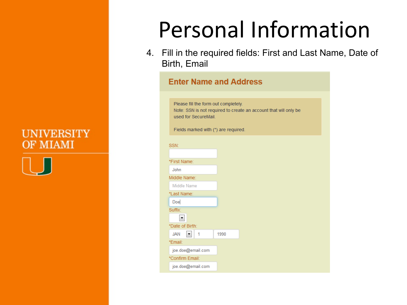

### Personal Information

4. Fill in the required fields: First and Last Name, Date of Birth, Email

#### **Enter Name and Address** Please fill the form out completely. Note: SSN is not required to create an account that will only be used for SecureMail. Fields marked with (\*) are required. SSN<sup>-</sup> \*First Name: John Middle Name: Middle Name \*Last Name: Doe Suffix:  $\blacktriangledown$ \*Date of Birth:  $\blacktriangledown$ **JAN**  $\vert$  1 1990

\*Email:

joe.doe@email.com \*Confirm Email: joe.doe@email.com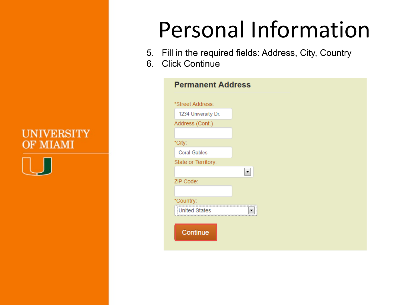

### Personal Information

- 5. Fill in the required fields: Address, City, Country
- 6. Click Continue

| <b>Permanent Address</b> |   |  |
|--------------------------|---|--|
| *Street Address:         |   |  |
| 1234 University Dr.      |   |  |
| Address (Cont.)          |   |  |
| *City:                   |   |  |
| <b>Coral Gables</b>      |   |  |
| State or Territory:      |   |  |
|                          | ▼ |  |
| ZIP Code:                |   |  |
|                          |   |  |
| *Country:                |   |  |
| United States            |   |  |
|                          |   |  |
| Continue                 |   |  |
|                          |   |  |
|                          |   |  |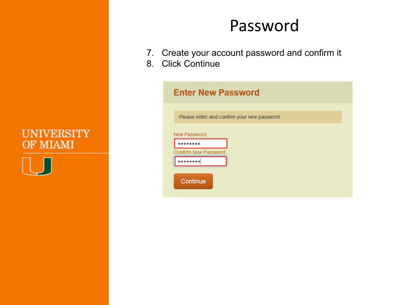

### Password

- 7. Create your account password and confirm it
- 8. Click Continue

| <b>Enter New Password</b>                   |
|---------------------------------------------|
| Please enter and confirm your new password. |
| New Password:                               |
| Confirm New Password:<br>                   |
| Continue                                    |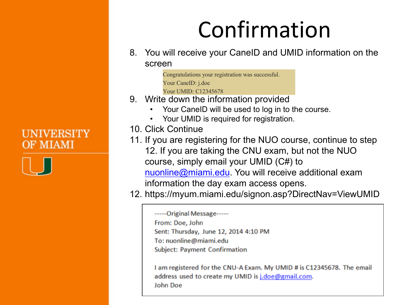

### Confirmation

8. You will receive your CaneID and UMID information on the screen

> Congratulations your registration was successful. Your CaneID: j.doe Your UMID: C12345678

- 9. Write down the information provided
	- Your CaneID will be used to log in to the course.
	- Your UMID is required for registration.
- 10. Click Continue
- 11. If you are registering for the NUO course, continue to step 12. If you are taking the CNU exam, but not the NUO course, simply email your UMID (C#) to nuonline@miami.edu. You will receive additional exam information the day exam access opens.

12. https://myum.miami.edu/signon.asp?DirectNav=ViewUMID

I am registered for the CNU-A Exam. My UMID # is C12345678. The email address used to create my UMID is j.doe@gmail.com. **John Doe** 

<sup>-----</sup>Original Message-----From: Doe, John Sent: Thursday, June 12, 2014 4:10 PM To: nuonline@miami.edu **Subject: Payment Confirmation**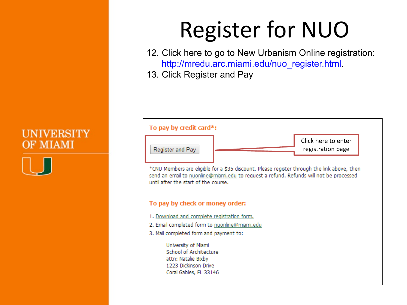### **Register for NUO**

12. Click here to go to New Urbanism Online registration: http://mredu.arc.miami.edu/nuo\_register.html.

13. Click Register and Pay



send an email to nuonline@miami.edu to request a refund. Refunds will not be processed until after the start of the course.

#### To pay by check or money order:

- 1. Download and complete registration form.
- 2. Email completed form to nuonline@miami.edu
- 3. Mail completed form and payment to:

University of Miami School of Architecture attn: Natalie Bixby 1223 Dickinson Drive Coral Gables, FL 33146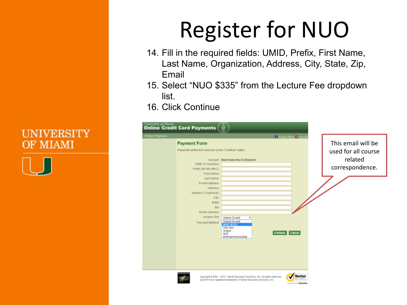

# **Register for NUO**

- 14. Fill in the required fields: UMID, Prefix, First Name, Last Name, Organization, Address, City, State, Zip, Email
- 15. Select "NUO \$335" from the Lecture Fee dropdown list.
- 16. Click Continue

|                       | <b>Online Credit Card Payments</b>                                                                                                                                                                                               |                                                                                                                                                      |                                         |                                                                         |  |
|-----------------------|----------------------------------------------------------------------------------------------------------------------------------------------------------------------------------------------------------------------------------|------------------------------------------------------------------------------------------------------------------------------------------------------|-----------------------------------------|-------------------------------------------------------------------------|--|
| <b>Online Payment</b> | <b>Payment Form</b><br>Please fill out the form and click on the "Continue" button.<br>UMID (C Number):<br>Prefix (Mr./Ms./Mrs.):<br>First Name:<br>Last Name:<br>Firm/Institution:<br>Address:<br>Address 2 (optional):<br>City | Account: Real Estate Dev & Urbanism                                                                                                                  | <b>D</b> Privacy Policy <b>B</b> Log Of | This email will be<br>used for all course<br>related<br>correspondence. |  |
|                       | State:<br>Zip:<br>Email Address:<br>Lecture Fee:<br>Payment Method:                                                                                                                                                              | Select Event<br>٠<br>Select Event<br><b>NUO \$335</b><br>Urb Dev<br>Argus<br>NCI<br>Entrepreneurship                                                 | <b>Continue</b><br>Cancel               |                                                                         |  |
|                       |                                                                                                                                                                                                                                  | Copyright @ 2001 - 2014. Nelvet Business Solutions, Inc. All rights reserved.<br>Quik/AY's a registered trademark of Nelnet Business Solutions, Inc. | Norton                                  |                                                                         |  |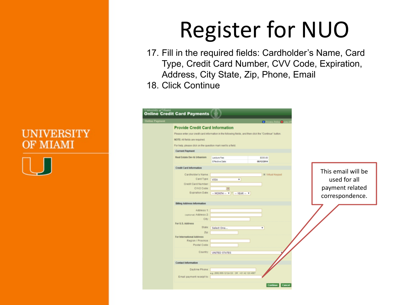

## **Register for NUO**

17. Fill in the required fields: Cardholder's Name, Card Type, Credit Card Number, CVV Code, Expiration, Address, City State, Zip, Phone, Email 18. Click Continue

| niversity of Miami    | <b>Inline Credit Card Payments</b>                           |                                                                                                          |                                     |                    |
|-----------------------|--------------------------------------------------------------|----------------------------------------------------------------------------------------------------------|-------------------------------------|--------------------|
| <b>Inline Payment</b> |                                                              |                                                                                                          | <b>C Privacy Policy &amp; Log 4</b> |                    |
|                       | <b>Provide Credit Card Information</b>                       |                                                                                                          |                                     |                    |
|                       |                                                              | Please enter your credit card information in the following fields, and then click the "Continue" button. |                                     |                    |
|                       | NOTE: All fields are required.                               |                                                                                                          |                                     |                    |
|                       | For help, please click on the question mark next to a field. |                                                                                                          |                                     |                    |
|                       | <b>Current Payment</b>                                       |                                                                                                          |                                     |                    |
|                       |                                                              |                                                                                                          |                                     |                    |
|                       | Real Estate Dev & Urbanism                                   | Lecture Fee:<br>Effective Date:                                                                          | \$336.00<br>06/12/2014              |                    |
|                       |                                                              |                                                                                                          |                                     |                    |
|                       | <b>Credit Card Information</b>                               |                                                                                                          |                                     | This email will be |
|                       | Cardholder's Name:                                           |                                                                                                          | Ell Virtual Keypad                  |                    |
|                       | Card Type:                                                   | <b>VISA</b><br>٠                                                                                         |                                     | used for all       |
|                       | Credit Card Number.                                          |                                                                                                          |                                     |                    |
|                       | CW2 Code:<br>Expiration Date:                                |                                                                                                          |                                     | payment related    |
|                       |                                                              | $\cdots$ MONTH $\cdots$ $\bullet$ $\vert I \vert$ $\cdots$ YEAR $\cdots$ $\bullet$                       |                                     | correspondence.    |
|                       | Billing Address Information                                  |                                                                                                          |                                     |                    |
|                       |                                                              |                                                                                                          |                                     |                    |
|                       | Address 1:                                                   |                                                                                                          |                                     |                    |
|                       | (optional) Address 2:<br>City:                               |                                                                                                          |                                     |                    |
|                       | For U.S. Address                                             |                                                                                                          |                                     |                    |
|                       | State:                                                       | Select One                                                                                               | ٠                                   |                    |
|                       | Zip                                                          |                                                                                                          |                                     |                    |
|                       | For International Address                                    |                                                                                                          |                                     |                    |
|                       | Region / Province:<br>Postal Code:                           |                                                                                                          |                                     |                    |
|                       |                                                              |                                                                                                          |                                     |                    |
|                       | Country.                                                     | <b>UNITED STATES</b>                                                                                     |                                     |                    |
|                       |                                                              |                                                                                                          |                                     |                    |
|                       | <b>Contact Information</b>                                   |                                                                                                          |                                     |                    |
|                       | Daytime Phone:                                               |                                                                                                          |                                     |                    |
|                       |                                                              | e.g. (555) 555-1212x123 OR +31 42 123 4567                                                               |                                     |                    |
|                       | Email payment receipt to:                                    |                                                                                                          |                                     |                    |
|                       |                                                              |                                                                                                          | <b>Cancel</b><br>Continue           |                    |
|                       |                                                              |                                                                                                          |                                     |                    |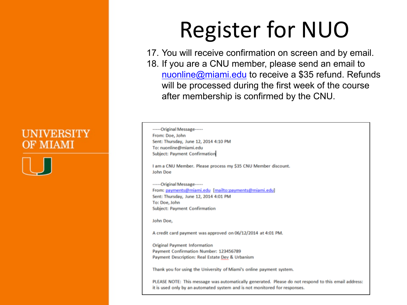

### **Register for NUO**

17. You will receive confirmation on screen and by email. 18. If you are a CNU member, please send an email to nuonline@miami.edu to receive a \$35 refund. Refunds will be processed during the first week of the course after membership is confirmed by the CNU.

-----Original Message-----From: Doe, John Sent: Thursday, June 12, 2014 4:10 PM To: nuonline@miami.edu Subject: Payment Confirmation I am a CNU Member. Please process my \$35 CNU Member discount. John Doe

------Original Message------From: payments@miami.edu [mailto:payments@miami.edu] Sent: Thursday, June 12, 2014 4:01 PM To: Doe, John Subject: Payment Confirmation

John Doe,

A credit card payment was approved on 06/12/2014 at 4:01 PM.

**Original Payment Information** Payment Confirmation Number: 123456789 Payment Description: Real Estate Dev & Urbanism

Thank you for using the University of Miami's online payment system.

PLEASE NOTE: This message was automatically generated. Please do not respond to this email address: it is used only by an automated system and is not monitored for responses.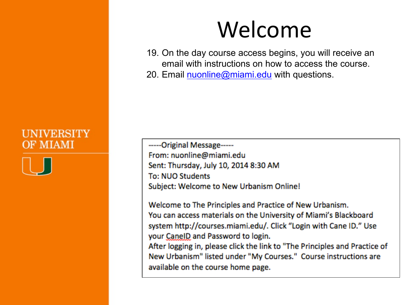

### Welcome

19. On the day course access begins, you will receive an email with instructions on how to access the course.

20. Email nuonline@miami.edu with questions.

-----Original Message-----From: nuonline@miami.edu Sent: Thursday, July 10, 2014 8:30 AM **To: NUO Students** Subject: Welcome to New Urbanism Online!

Welcome to The Principles and Practice of New Urbanism. You can access materials on the University of Miami's Blackboard system http://courses.miami.edu/. Click "Login with Cane ID." Use your CanelD and Password to login.

After logging in, please click the link to "The Principles and Practice of New Urbanism" listed under "My Courses." Course instructions are available on the course home page.